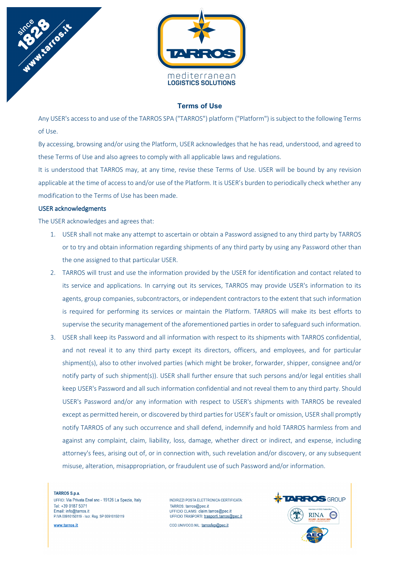

## **Terms of Use**

Any USER's access to and use of the TARROS SPA ("TARROS") platform ("Platform") is subject to the following Terms of Use.

By accessing, browsing and/or using the Platform, USER acknowledges that he has read, understood, and agreed to these Terms of Use and also agrees to comply with all applicable laws and regulations.

It is understood that TARROS may, at any time, revise these Terms of Use. USER will be bound by any revision applicable at the time of access to and/or use of the Platform. It is USER's burden to periodically check whether any modification to the Terms of Use has been made.

### USER acknowledgments

The USER acknowledges and agrees that:

- 1. USER shall not make any attempt to ascertain or obtain a Password assigned to any third party by TARROS or to try and obtain information regarding shipments of any third party by using any Password other than the one assigned to that particular USER.
- 2. TARROS will trust and use the information provided by the USER for identification and contact related to its service and applications. In carrying out its services, TARROS may provide USER's information to its agents, group companies, subcontractors, or independent contractors to the extent that such information is required for performing its services or maintain the Platform. TARROS will make its best efforts to supervise the security management of the aforementioned parties in order to safeguard such information.
- 3. USER shall keep its Password and all information with respect to its shipments with TARROS confidential, and not reveal it to any third party except its directors, officers, and employees, and for particular shipment(s), also to other involved parties (which might be broker, forwarder, shipper, consignee and/or notify party of such shipment(s)). USER shall further ensure that such persons and/or legal entities shall keep USER's Password and all such information confidential and not reveal them to any third party. Should USER's Password and/or any information with respect to USER's shipments with TARROS be revealed except as permitted herein, or discovered by third parties for USER's fault or omission, USER shall promptly notify TARROS of any such occurrence and shall defend, indemnify and hold TARROS harmless from and against any complaint, claim, liability, loss, damage, whether direct or indirect, and expense, including attorney's fees, arising out of, or in connection with, such revelation and/or discovery, or any subsequent misuse, alteration, misappropriation, or fraudulent use of such Password and/or information.

#### TARROS S.p.a.

UFFICI: Via Privata Enel snc - 19126 La Spezia, Italy Tel: +39 0187 5371 Email: info@tarros.it P.IVA 00910150119 - Iscr. Reg. SP 00910150119

www.tarros.it

INDIRIZZI POSTA ELETTRONICA CERTIFICATA: TARROS: tarros@pec.it UFFICIO CLAIMS: claim.tarros@pec.it UFFICIO TRASPORTI: trasporti.tarros@pec.it COD.UNIVOCO.NIL: tarrosfep@pec.it

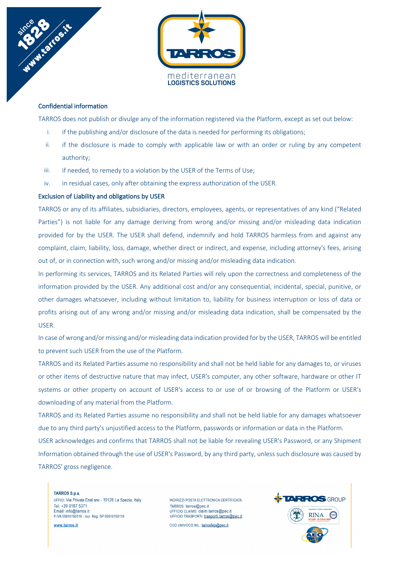

# Confidential information

TARROS does not publish or divulge any of the information registered via the Platform, except as set out below:

- i. if the publishing and/or disclosure of the data is needed for performing its obligations;
- ii. if the disclosure is made to comply with applicable law or with an order or ruling by any competent authority;
- iii. if needed, to remedy to a violation by the USER of the Terms of Use;
- iv. in residual cases, only after obtaining the express authorization of the USER.

### Exclusion of Liability and obligations by USER

TARROS or any of its affiliates, subsidiaries, directors, employees, agents, or representatives of any kind ("Related Parties") is not liable for any damage deriving from wrong and/or missing and/or misleading data indication provided for by the USER. The USER shall defend, indemnify and hold TARROS harmless from and against any complaint, claim, liability, loss, damage, whether direct or indirect, and expense, including attorney's fees, arising out of, or in connection with, such wrong and/or missing and/or misleading data indication.

In performing its services, TARROS and its Related Parties will rely upon the correctness and completeness of the information provided by the USER. Any additional cost and/or any consequential, incidental, special, punitive, or other damages whatsoever, including without limitation to, liability for business interruption or loss of data or profits arising out of any wrong and/or missing and/or misleading data indication, shall be compensated by the USER.

In case of wrong and/or missing and/or misleading data indication provided for by the USER, TARROS will be entitled to prevent such USER from the use of the Platform.

TARROS and its Related Parties assume no responsibility and shall not be held liable for any damages to, or viruses or other items of destructive nature that may infect, USER's computer, any other software, hardware or other IT systems or other property on account of USER's access to or use of or browsing of the Platform or USER's downloading of any material from the Platform.

TARROS and its Related Parties assume no responsibility and shall not be held liable for any damages whatsoever due to any third party's unjustified access to the Platform, passwords or information or data in the Platform.

USER acknowledges and confirms that TARROS shall not be liable for revealing USER's Password, or any Shipment Information obtained through the use of USER's Password, by any third party, unless such disclosure was caused by TARROS' gross negligence.

TARROS S.p.a. UFFICI: Via Privata Enel snc - 19126 La Spezia, Italy Tel: +39 0187 5371 Email: info@tarros.it P.IVA 00910150119 - Iscr. Reg. SP 00910150119

www.tarros.it

INDIRIZZI POSTA ELETTRONICA CERTIFICATA: TARROS: tarros@pec.it UFFICIO CLAIMS: claim.tarros@pec.it UFFICIO TRASPORTI: trasporti.tarros@pec.it COD.UNIVOCO.NIL: tarrosfep@pec.it